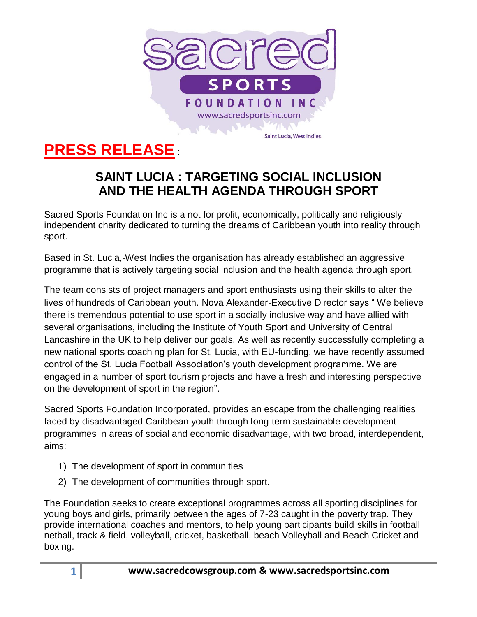

## **PRESS RELEASE** :

## **SAINT LUCIA : TARGETING SOCIAL INCLUSION AND THE HEALTH AGENDA THROUGH SPORT**

Sacred Sports Foundation Inc is a not for profit, economically, politically and religiously independent charity dedicated to turning the dreams of Caribbean youth into reality through sport.

Based in St. Lucia,-West Indies the organisation has already established an aggressive programme that is actively targeting social inclusion and the health agenda through sport.

The team consists of project managers and sport enthusiasts using their skills to alter the lives of hundreds of Caribbean youth. Nova Alexander-Executive Director says " We believe there is tremendous potential to use sport in a socially inclusive way and have allied with several organisations, including the Institute of Youth Sport and University of Central Lancashire in the UK to help deliver our goals. As well as recently successfully completing a new national sports coaching plan for St. Lucia, with EU-funding, we have recently assumed control of the St. Lucia Football Association's youth development programme. We are engaged in a number of sport tourism projects and have a fresh and interesting perspective on the development of sport in the region".

Sacred Sports Foundation Incorporated, provides an escape from the challenging realities faced by disadvantaged Caribbean youth through long-term sustainable development programmes in areas of social and economic disadvantage, with two broad, interdependent, aims:

- 1) The development of sport in communities
- 2) The development of communities through sport.

The Foundation seeks to create exceptional programmes across all sporting disciplines for young boys and girls, primarily between the ages of 7-23 caught in the poverty trap. They provide international coaches and mentors, to help young participants build skills in football netball, track & field, volleyball, cricket, basketball, beach Volleyball and Beach Cricket and boxing.